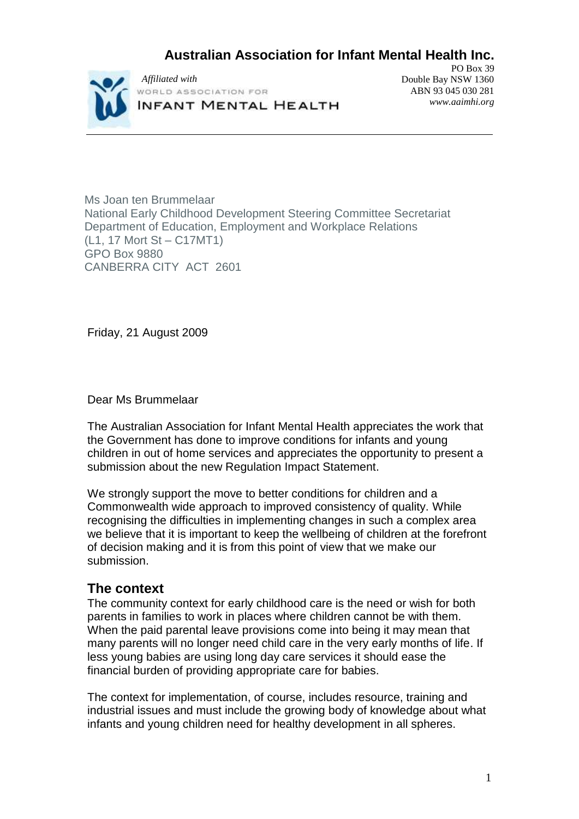# **Australian Association for Infant Mental Health Inc.**



PO Box 39 Double Bay NSW 1360 ABN 93 045 030 281 *www.aaimhi.org*

Ms Joan ten Brummelaar National Early Childhood Development Steering Committee Secretariat Department of Education, Employment and Workplace Relations (L1, 17 Mort St – C17MT1) GPO Box 9880 CANBERRA CITY ACT 2601

Friday, 21 August 2009

Dear Ms Brummelaar

The Australian Association for Infant Mental Health appreciates the work that the Government has done to improve conditions for infants and young children in out of home services and appreciates the opportunity to present a submission about the new Regulation Impact Statement.

We strongly support the move to better conditions for children and a Commonwealth wide approach to improved consistency of quality. While recognising the difficulties in implementing changes in such a complex area we believe that it is important to keep the wellbeing of children at the forefront of decision making and it is from this point of view that we make our submission.

## **The context**

The community context for early childhood care is the need or wish for both parents in families to work in places where children cannot be with them. When the paid parental leave provisions come into being it may mean that many parents will no longer need child care in the very early months of life. If less young babies are using long day care services it should ease the financial burden of providing appropriate care for babies.

The context for implementation, of course, includes resource, training and industrial issues and must include the growing body of knowledge about what infants and young children need for healthy development in all spheres.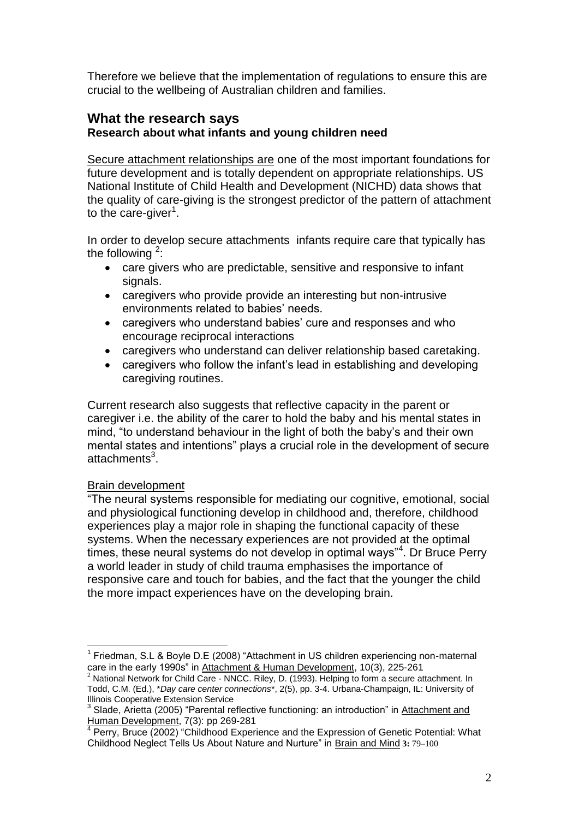Therefore we believe that the implementation of regulations to ensure this are crucial to the wellbeing of Australian children and families.

### **What the research says Research about what infants and young children need**

Secure attachment relationships are one of the most important foundations for future development and is totally dependent on appropriate relationships. US National Institute of Child Health and Development (NICHD) data shows that the quality of care-giving is the strongest predictor of the pattern of attachment to the care-giver<sup>1</sup>.

In order to develop secure attachments infants require care that typically has the following  $2$ :

- care givers who are predictable, sensitive and responsive to infant signals.
- caregivers who provide provide an interesting but non-intrusive environments related to babies' needs.
- caregivers who understand babies' cure and responses and who encourage reciprocal interactions
- caregivers who understand can deliver relationship based caretaking.
- caregivers who follow the infant's lead in establishing and developing caregiving routines.

Current research also suggests that reflective capacity in the parent or caregiver i.e. the ability of the carer to hold the baby and his mental states in mind, "to understand behaviour in the light of both the baby's and their own mental states and intentions" plays a crucial role in the development of secure attachments<sup>3</sup>.

## Brain development

"The neural systems responsible for mediating our cognitive, emotional, social and physiological functioning develop in childhood and, therefore, childhood experiences play a major role in shaping the functional capacity of these systems. When the necessary experiences are not provided at the optimal times, these neural systems do not develop in optimal ways"<sup>4</sup>. Dr Bruce Perry a world leader in study of child trauma emphasises the importance of responsive care and touch for babies, and the fact that the younger the child the more impact experiences have on the developing brain.

 $\overline{a}$ <sup>1</sup> Friedman, S.L & Boyle D.E (2008) "Attachment in US children experiencing non-maternal care in the early 1990s" in Attachment & Human Development, 10(3), 225-261

National Network for Child Care - NNCC. Riley, D. (1993). Helping to form a secure attachment. In Todd, C.M. (Ed.), \**Day care center connections*\*, 2(5), pp. 3-4. Urbana-Champaign, IL: University of Illinois Cooperative Extension Service

<sup>&</sup>lt;sup>3</sup> Slade, Arietta (2005) "Parental reflective functioning: an introduction" in Attachment and

Human Development, 7(3): pp 269-281<br><sup>4</sup> Perry, Bruce (2002) "Childhood Experience and the Expression of Genetic Potential: What Childhood Neglect Tells Us About Nature and Nurture" in Brain and Mind **3:** 79–100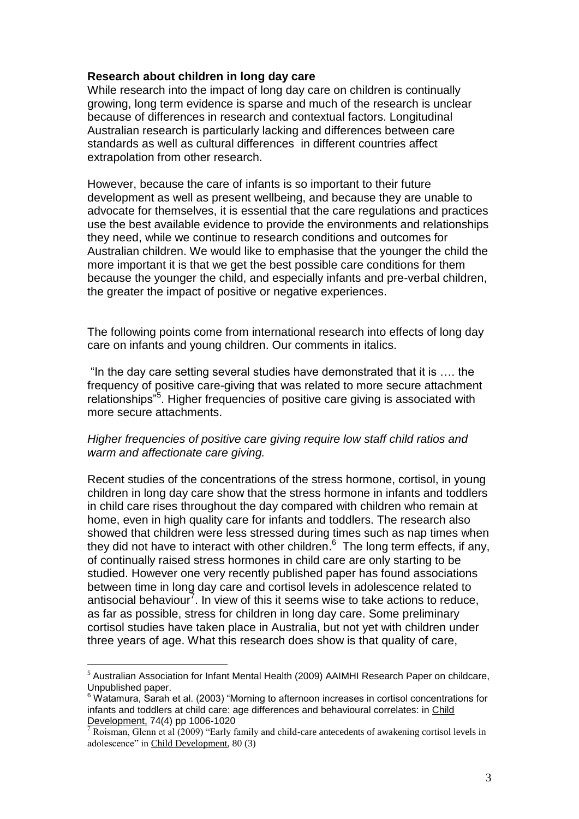#### **Research about children in long day care**

While research into the impact of long day care on children is continually growing, long term evidence is sparse and much of the research is unclear because of differences in research and contextual factors. Longitudinal Australian research is particularly lacking and differences between care standards as well as cultural differences in different countries affect extrapolation from other research.

However, because the care of infants is so important to their future development as well as present wellbeing, and because they are unable to advocate for themselves, it is essential that the care regulations and practices use the best available evidence to provide the environments and relationships they need, while we continue to research conditions and outcomes for Australian children. We would like to emphasise that the younger the child the more important it is that we get the best possible care conditions for them because the younger the child, and especially infants and pre-verbal children, the greater the impact of positive or negative experiences.

The following points come from international research into effects of long day care on infants and young children. Our comments in italics.

"In the day care setting several studies have demonstrated that it is …. the frequency of positive care-giving that was related to more secure attachment relationships"<sup>5</sup>. Higher frequencies of positive care giving is associated with more secure attachments.

#### *Higher frequencies of positive care giving require low staff child ratios and warm and affectionate care giving.*

Recent studies of the concentrations of the stress hormone, cortisol, in young children in long day care show that the stress hormone in infants and toddlers in child care rises throughout the day compared with children who remain at home, even in high quality care for infants and toddlers. The research also showed that children were less stressed during times such as nap times when they did not have to interact with other children. $6$  The long term effects, if any, of continually raised stress hormones in child care are only starting to be studied. However one very recently published paper has found associations between time in long day care and cortisol levels in adolescence related to antisocial behaviour<sup>7</sup>. In view of this it seems wise to take actions to reduce, as far as possible, stress for children in long day care. Some preliminary cortisol studies have taken place in Australia, but not yet with children under three years of age. What this research does show is that quality of care,

 $\overline{a}$ 

 $<sup>5</sup>$  Australian Association for Infant Mental Health (2009) AAIMHI Research Paper on childcare,</sup> Unpublished paper.

 $6$  Watamura, Sarah et al. (2003) "Morning to afternoon increases in cortisol concentrations for infants and toddlers at child care: age differences and behavioural correlates: in Child Development, 74(4) pp 1006-1020

 $\sqrt{7}$  Roisman, Glenn et al (2009) "Early family and child-care antecedents of awakening cortisol levels in adolescence" in Child Development, 80 (3)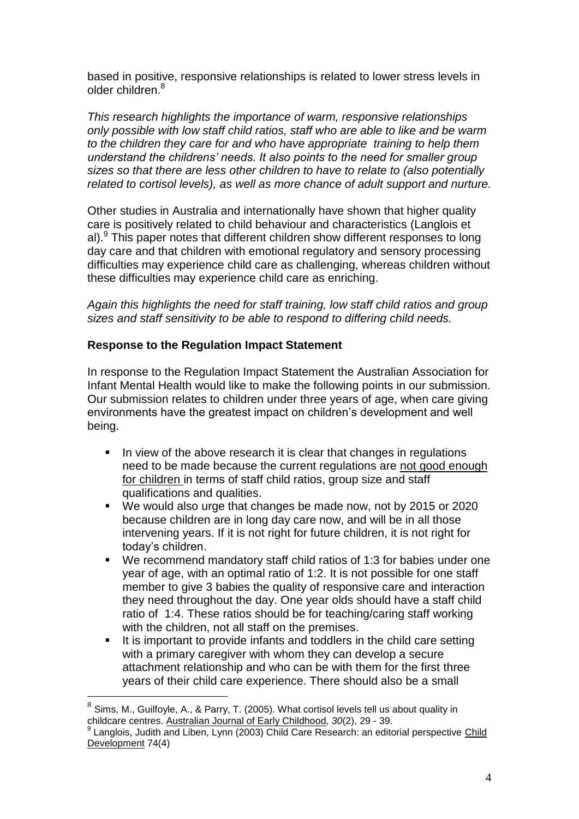based in positive, responsive relationships is related to lower stress levels in older children.<sup>8</sup>

*This research highlights the importance of warm, responsive relationships only possible with low staff child ratios, staff who are able to like and be warm to the children they care for and who have appropriate training to help them understand the childrens' needs. It also points to the need for smaller group sizes so that there are less other children to have to relate to (also potentially related to cortisol levels), as well as more chance of adult support and nurture.*

Other studies in Australia and internationally have shown that higher quality care is positively related to child behaviour and characteristics (Langlois et al).<sup>9</sup> This paper notes that different children show different responses to long day care and that children with emotional regulatory and sensory processing difficulties may experience child care as challenging, whereas children without these difficulties may experience child care as enriching.

*Again this highlights the need for staff training, low staff child ratios and group sizes and staff sensitivity to be able to respond to differing child needs.*

## **Response to the Regulation Impact Statement**

In response to the Regulation Impact Statement the Australian Association for Infant Mental Health would like to make the following points in our submission. Our submission relates to children under three years of age, when care giving environments have the greatest impact on children's development and well being.

- In view of the above research it is clear that changes in regulations need to be made because the current regulations are not good enough for children in terms of staff child ratios, group size and staff qualifications and qualities.
- We would also urge that changes be made now, not by 2015 or 2020 because children are in long day care now, and will be in all those intervening years. If it is not right for future children, it is not right for today's children.
- We recommend mandatory staff child ratios of 1:3 for babies under one year of age, with an optimal ratio of 1:2. It is not possible for one staff member to give 3 babies the quality of responsive care and interaction they need throughout the day. One year olds should have a staff child ratio of 1:4. These ratios should be for teaching/caring staff working with the children, not all staff on the premises.
- It is important to provide infants and toddlers in the child care setting with a primary caregiver with whom they can develop a secure attachment relationship and who can be with them for the first three years of their child care experience. There should also be a small

 $\overline{a}$ 

 $^8$  Sims, M., Guilfoyle, A., & Parry, T. (2005). What cortisol levels tell us about quality in childcare centres. Australian Journal of Early Childhood*, 30*(2), 29 - 39.

<sup>&</sup>lt;sup>9</sup> Langlois, Judith and Liben, Lynn (2003) Child Care Research: an editorial perspective Child Development 74(4)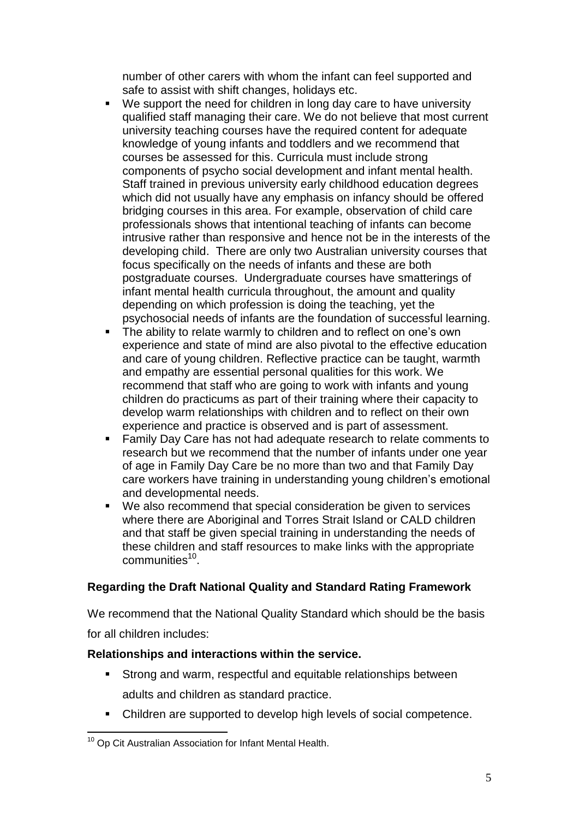number of other carers with whom the infant can feel supported and safe to assist with shift changes, holidays etc.

- We support the need for children in long day care to have university qualified staff managing their care. We do not believe that most current university teaching courses have the required content for adequate knowledge of young infants and toddlers and we recommend that courses be assessed for this. Curricula must include strong components of psycho social development and infant mental health. Staff trained in previous university early childhood education degrees which did not usually have any emphasis on infancy should be offered bridging courses in this area. For example, observation of child care professionals shows that intentional teaching of infants can become intrusive rather than responsive and hence not be in the interests of the developing child. There are only two Australian university courses that focus specifically on the needs of infants and these are both postgraduate courses. Undergraduate courses have smatterings of infant mental health curricula throughout, the amount and quality depending on which profession is doing the teaching, yet the psychosocial needs of infants are the foundation of successful learning.
- The ability to relate warmly to children and to reflect on one's own experience and state of mind are also pivotal to the effective education and care of young children. Reflective practice can be taught, warmth and empathy are essential personal qualities for this work. We recommend that staff who are going to work with infants and young children do practicums as part of their training where their capacity to develop warm relationships with children and to reflect on their own experience and practice is observed and is part of assessment.
- Family Day Care has not had adequate research to relate comments to research but we recommend that the number of infants under one year of age in Family Day Care be no more than two and that Family Day care workers have training in understanding young children's emotional and developmental needs.
- We also recommend that special consideration be given to services where there are Aboriginal and Torres Strait Island or CALD children and that staff be given special training in understanding the needs of these children and staff resources to make links with the appropriate communities<sup>10</sup>.

## **Regarding the Draft National Quality and Standard Rating Framework**

We recommend that the National Quality Standard which should be the basis

for all children includes:

## **Relationships and interactions within the service.**

- Strong and warm, respectful and equitable relationships between adults and children as standard practice.
- Children are supported to develop high levels of social competence.

 <sup>10</sup> Op Cit Australian Association for Infant Mental Health.